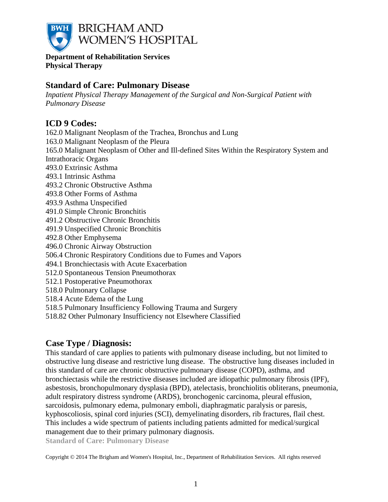

**Department of Rehabilitation Services Physical Therapy**

# **Standard of Care: Pulmonary Disease**

*Inpatient Physical Therapy Management of the Surgical and Non-Surgical Patient with Pulmonary Disease*

# **ICD 9 Codes:**

162.0 Malignant Neoplasm of the Trachea, Bronchus and Lung 163.0 Malignant Neoplasm of the Pleura 165.0 Malignant Neoplasm of Other and Ill-defined Sites Within the Respiratory System and Intrathoracic Organs 493.0 Extrinsic Asthma 493.1 Intrinsic Asthma 493.2 Chronic Obstructive Asthma 493.8 Other Forms of Asthma 493.9 Asthma Unspecified 491.0 Simple Chronic Bronchitis 491.2 Obstructive Chronic Bronchitis 491.9 Unspecified Chronic Bronchitis 492.8 Other Emphysema 496.0 Chronic Airway Obstruction 506.4 Chronic Respiratory Conditions due to Fumes and Vapors 494.1 Bronchiectasis with Acute Exacerbation 512.0 Spontaneous Tension Pneumothorax 512.1 Postoperative Pneumothorax 518.0 Pulmonary Collapse 518.4 Acute Edema of the Lung 518.5 Pulmonary Insufficiency Following Trauma and Surgery

# 518.82 Other Pulmonary Insufficiency not Elsewhere Classified

# **Case Type / Diagnosis:**

This standard of care applies to patients with pulmonary disease including, but not limited to obstructive lung disease and restrictive lung disease. The obstructive lung diseases included in this standard of care are chronic obstructive pulmonary disease (COPD), asthma, and bronchiectasis while the restrictive diseases included are idiopathic pulmonary fibrosis (IPF), asbestosis, bronchopulmonary dysplasia (BPD), atelectasis, bronchiolitis obliterans, pneumonia, adult respiratory distress syndrome (ARDS), bronchogenic carcinoma, pleural effusion, sarcoidosis, pulmonary edema, pulmonary emboli, diaphragmatic paralysis or paresis, kyphoscoliosis, spinal cord injuries (SCI), demyelinating disorders, rib fractures, flail chest. This includes a wide spectrum of patients including patients admitted for medical/surgical management due to their primary pulmonary diagnosis.

**Standard of Care: Pulmonary Disease**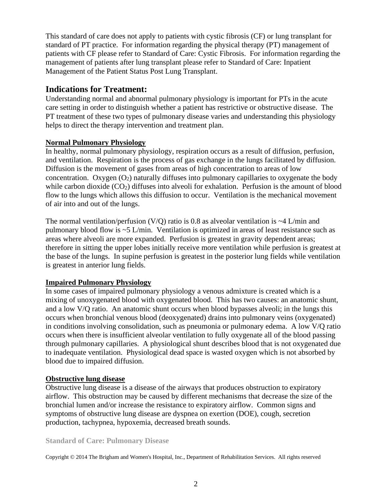This standard of care does not apply to patients with cystic fibrosis (CF) or lung transplant for standard of PT practice. For information regarding the physical therapy (PT) management of patients with CF please refer to Standard of Care: Cystic Fibrosis. For information regarding the management of patients after lung transplant please refer to Standard of Care: Inpatient Management of the Patient Status Post Lung Transplant.

# **Indications for Treatment:**

Understanding normal and abnormal pulmonary physiology is important for PTs in the acute care setting in order to distinguish whether a patient has restrictive or obstructive disease. The PT treatment of these two types of pulmonary disease varies and understanding this physiology helps to direct the therapy intervention and treatment plan.

# **Normal Pulmonary Physiology**

In healthy, normal pulmonary physiology, respiration occurs as a result of diffusion, perfusion, and ventilation. Respiration is the process of gas exchange in the lungs facilitated by diffusion. Diffusion is the movement of gases from areas of high concentration to areas of low concentration. Oxygen  $(O_2)$  naturally diffuses into pulmonary capillaries to oxygenate the body while carbon dioxide  $(CO<sub>2</sub>)$  diffuses into alveoli for exhalation. Perfusion is the amount of blood flow to the lungs which allows this diffusion to occur. Ventilation is the mechanical movement of air into and out of the lungs.

The normal ventilation/perfusion (V/Q) ratio is 0.8 as alveolar ventilation is  $\sim$ 4 L/min and pulmonary blood flow is ~5 L/min. Ventilation is optimized in areas of least resistance such as areas where alveoli are more expanded. Perfusion is greatest in gravity dependent areas; therefore in sitting the upper lobes initially receive more ventilation while perfusion is greatest at the base of the lungs. In supine perfusion is greatest in the posterior lung fields while ventilation is greatest in anterior lung fields.

# **Impaired Pulmonary Physiology**

In some cases of impaired pulmonary physiology a venous admixture is created which is a mixing of unoxygenated blood with oxygenated blood. This has two causes: an anatomic shunt, and a low V/Q ratio. An anatomic shunt occurs when blood bypasses alveoli; in the lungs this occurs when bronchial venous blood (deoxygenated) drains into pulmonary veins (oxygenated) in conditions involving consolidation, such as pneumonia or pulmonary edema. A low V/Q ratio occurs when there is insufficient alveolar ventilation to fully oxygenate all of the blood passing through pulmonary capillaries. A physiological shunt describes blood that is not oxygenated due to inadequate ventilation. Physiological dead space is wasted oxygen which is not absorbed by blood due to impaired diffusion.

# **Obstructive lung disease**

Obstructive lung disease is a disease of the airways that produces obstruction to expiratory airflow. This obstruction may be caused by different mechanisms that decrease the size of the bronchial lumen and/or increase the resistance to expiratory airflow. Common signs and symptoms of obstructive lung disease are dyspnea on exertion (DOE), cough, secretion production, tachypnea, hypoxemia, decreased breath sounds.

# **Standard of Care: Pulmonary Disease**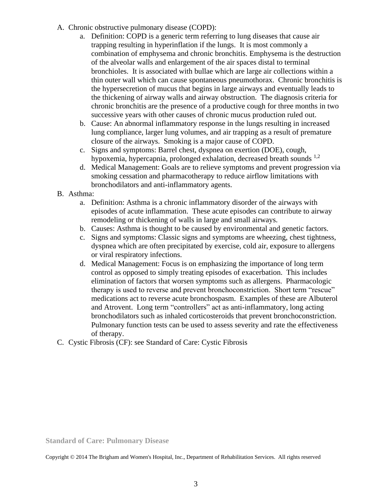- A. Chronic obstructive pulmonary disease (COPD):
	- a. Definition: COPD is a generic term referring to lung diseases that cause air trapping resulting in hyperinflation if the lungs. It is most commonly a combination of emphysema and chronic bronchitis. Emphysema is the destruction of the alveolar walls and enlargement of the air spaces distal to terminal bronchioles. It is associated with bullae which are large air collections within a thin outer wall which can cause spontaneous pneumothorax. Chronic bronchitis is the hypersecretion of mucus that begins in large airways and eventually leads to the thickening of airway walls and airway obstruction. The diagnosis criteria for chronic bronchitis are the presence of a productive cough for three months in two successive years with other causes of chronic mucus production ruled out.
	- b. Cause: An abnormal inflammatory response in the lungs resulting in increased lung compliance, larger lung volumes, and air trapping as a result of premature closure of the airways. Smoking is a major cause of COPD.
	- c. Signs and symptoms: Barrel chest, dyspnea on exertion (DOE), cough, hypoxemia, hypercapnia, prolonged exhalation, decreased breath sounds  $^{1,2}$
	- d. Medical Management: Goals are to relieve symptoms and prevent progression via smoking cessation and pharmacotherapy to reduce airflow limitations with bronchodilators and anti-inflammatory agents.
- B. Asthma:
	- a. Definition: Asthma is a chronic inflammatory disorder of the airways with episodes of acute inflammation. These acute episodes can contribute to airway remodeling or thickening of walls in large and small airways.
	- b. Causes: Asthma is thought to be caused by environmental and genetic factors.
	- c. Signs and symptoms: Classic signs and symptoms are wheezing, chest tightness, dyspnea which are often precipitated by exercise, cold air, exposure to allergens or viral respiratory infections.
	- d. Medical Management: Focus is on emphasizing the importance of long term control as opposed to simply treating episodes of exacerbation. This includes elimination of factors that worsen symptoms such as allergens. Pharmacologic therapy is used to reverse and prevent bronchoconstriction. Short term "rescue" medications act to reverse acute bronchospasm. Examples of these are Albuterol and Atrovent. Long term "controllers" act as anti-inflammatory, long acting bronchodilators such as inhaled corticosteroids that prevent bronchoconstriction. Pulmonary function tests can be used to assess severity and rate the effectiveness of therapy.
- C. Cystic Fibrosis (CF): see Standard of Care: Cystic Fibrosis

**Standard of Care: Pulmonary Disease**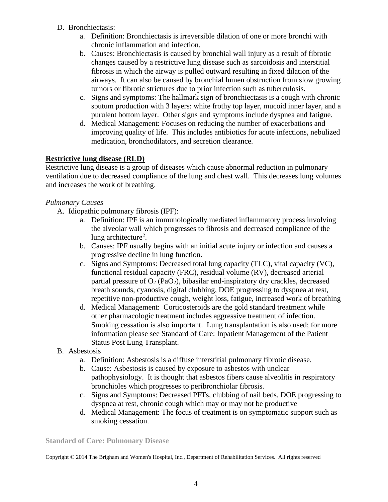- D. Bronchiectasis:
	- a. Definition: Bronchiectasis is irreversible dilation of one or more bronchi with chronic inflammation and infection.
	- b. Causes: Bronchiectasis is caused by bronchial wall injury as a result of fibrotic changes caused by a restrictive lung disease such as sarcoidosis and interstitial fibrosis in which the airway is pulled outward resulting in fixed dilation of the airways. It can also be caused by bronchial lumen obstruction from slow growing tumors or fibrotic strictures due to prior infection such as tuberculosis.
	- c. Signs and symptoms: The hallmark sign of bronchiectasis is a cough with chronic sputum production with 3 layers: white frothy top layer, mucoid inner layer, and a purulent bottom layer. Other signs and symptoms include dyspnea and fatigue.
	- d. Medical Management: Focuses on reducing the number of exacerbations and improving quality of life. This includes antibiotics for acute infections, nebulized medication, bronchodilators, and secretion clearance.

# **Restrictive lung disease (RLD)**

Restrictive lung disease is a group of diseases which cause abnormal reduction in pulmonary ventilation due to decreased compliance of the lung and chest wall. This decreases lung volumes and increases the work of breathing.

# *Pulmonary Causes*

- A. Idiopathic pulmonary fibrosis (IPF):
	- a. Definition: IPF is an immunologically mediated inflammatory process involving the alveolar wall which progresses to fibrosis and decreased compliance of the lung architecture<sup>2</sup>.
	- b. Causes: IPF usually begins with an initial acute injury or infection and causes a progressive decline in lung function.
	- c. Signs and Symptoms: Decreased total lung capacity (TLC), vital capacity (VC), functional residual capacity (FRC), residual volume (RV), decreased arterial partial pressure of  $O_2$  (PaO<sub>2</sub>), bibasilar end-inspiratory dry crackles, decreased breath sounds, cyanosis, digital clubbing, DOE progressing to dyspnea at rest, repetitive non-productive cough, weight loss, fatigue, increased work of breathing
	- d. Medical Management: Corticosteroids are the gold standard treatment while other pharmacologic treatment includes aggressive treatment of infection. Smoking cessation is also important. Lung transplantation is also used; for more information please see Standard of Care: Inpatient Management of the Patient Status Post Lung Transplant.
- B. Asbestosis
	- a. Definition: Asbestosis is a diffuse interstitial pulmonary fibrotic disease.
	- b. Cause: Asbestosis is caused by exposure to asbestos with unclear pathophysiology. It is thought that asbestos fibers cause alveolitis in respiratory bronchioles which progresses to peribronchiolar fibrosis.
	- c. Signs and Symptoms: Decreased PFTs, clubbing of nail beds, DOE progressing to dyspnea at rest, chronic cough which may or may not be productive
	- d. Medical Management: The focus of treatment is on symptomatic support such as smoking cessation.

### **Standard of Care: Pulmonary Disease**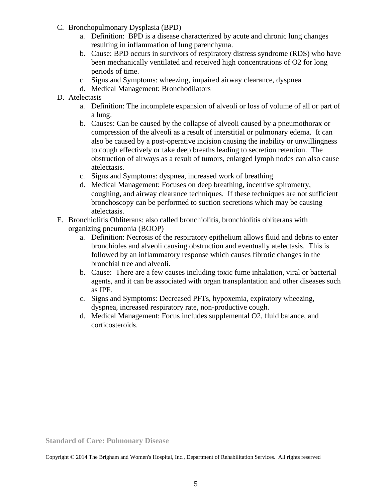- C. Bronchopulmonary Dysplasia (BPD)
	- a. Definition: BPD is a disease characterized by acute and chronic lung changes resulting in inflammation of lung parenchyma.
	- b. Cause: BPD occurs in survivors of respiratory distress syndrome (RDS) who have been mechanically ventilated and received high concentrations of O2 for long periods of time.
	- c. Signs and Symptoms: wheezing, impaired airway clearance, dyspnea
	- d. Medical Management: Bronchodilators
- D. Atelectasis
	- a. Definition: The incomplete expansion of alveoli or loss of volume of all or part of a lung.
	- b. Causes: Can be caused by the collapse of alveoli caused by a pneumothorax or compression of the alveoli as a result of interstitial or pulmonary edema. It can also be caused by a post-operative incision causing the inability or unwillingness to cough effectively or take deep breaths leading to secretion retention. The obstruction of airways as a result of tumors, enlarged lymph nodes can also cause atelectasis.
	- c. Signs and Symptoms: dyspnea, increased work of breathing
	- d. Medical Management: Focuses on deep breathing, incentive spirometry, coughing, and airway clearance techniques. If these techniques are not sufficient bronchoscopy can be performed to suction secretions which may be causing atelectasis.
- E. Bronchiolitis Obliterans: also called bronchiolitis, bronchiolitis obliterans with organizing pneumonia (BOOP)
	- a. Definition: Necrosis of the respiratory epithelium allows fluid and debris to enter bronchioles and alveoli causing obstruction and eventually atelectasis. This is followed by an inflammatory response which causes fibrotic changes in the bronchial tree and alveoli.
	- b. Cause: There are a few causes including toxic fume inhalation, viral or bacterial agents, and it can be associated with organ transplantation and other diseases such as IPF.
	- c. Signs and Symptoms: Decreased PFTs, hypoxemia, expiratory wheezing, dyspnea, increased respiratory rate, non-productive cough.
	- d. Medical Management: Focus includes supplemental O2, fluid balance, and corticosteroids.

**Standard of Care: Pulmonary Disease**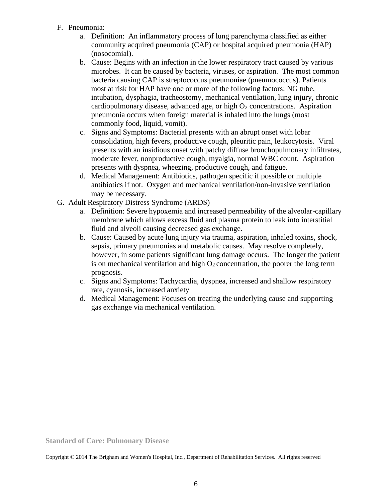- F. Pneumonia:
	- a. Definition: An inflammatory process of lung parenchyma classified as either community acquired pneumonia (CAP) or hospital acquired pneumonia (HAP) (nosocomial).
	- b. Cause: Begins with an infection in the lower respiratory tract caused by various microbes. It can be caused by bacteria, viruses, or aspiration. The most common bacteria causing CAP is streptococcus pneumoniae (pneumococcus). Patients most at risk for HAP have one or more of the following factors: NG tube, intubation, dysphagia, tracheostomy, mechanical ventilation, lung injury, chronic cardiopulmonary disease, advanced age, or high  $O<sub>2</sub>$  concentrations. Aspiration pneumonia occurs when foreign material is inhaled into the lungs (most commonly food, liquid, vomit).
	- c. Signs and Symptoms: Bacterial presents with an abrupt onset with lobar consolidation, high fevers, productive cough, pleuritic pain, leukocytosis. Viral presents with an insidious onset with patchy diffuse bronchopulmonary infiltrates, moderate fever, nonproductive cough, myalgia, normal WBC count. Aspiration presents with dyspnea, wheezing, productive cough, and fatigue.
	- d. Medical Management: Antibiotics, pathogen specific if possible or multiple antibiotics if not. Oxygen and mechanical ventilation/non-invasive ventilation may be necessary.
- G. Adult Respiratory Distress Syndrome (ARDS)
	- a. Definition: Severe hypoxemia and increased permeability of the alveolar-capillary membrane which allows excess fluid and plasma protein to leak into interstitial fluid and alveoli causing decreased gas exchange.
	- b. Cause: Caused by acute lung injury via trauma, aspiration, inhaled toxins, shock, sepsis, primary pneumonias and metabolic causes. May resolve completely, however, in some patients significant lung damage occurs. The longer the patient is on mechanical ventilation and high  $O_2$  concentration, the poorer the long term prognosis.
	- c. Signs and Symptoms: Tachycardia, dyspnea, increased and shallow respiratory rate, cyanosis, increased anxiety
	- d. Medical Management: Focuses on treating the underlying cause and supporting gas exchange via mechanical ventilation.

**Standard of Care: Pulmonary Disease**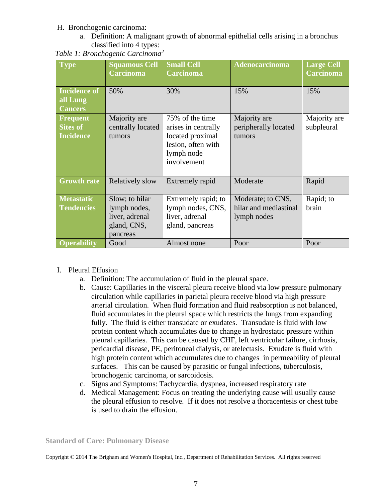## H. Bronchogenic carcinoma:

a. Definition: A malignant growth of abnormal epithelial cells arising in a bronchus classified into 4 types:

| Table 1: Bronchogenic Carcinoma <sup>2</sup> |  |  |  |  |  |  |  |
|----------------------------------------------|--|--|--|--|--|--|--|
|----------------------------------------------|--|--|--|--|--|--|--|

| <b>Type</b>                                            | <b>Squamous Cell</b><br><b>Carcinoma</b>                                    | <b>Small Cell</b><br><b>Carcinoma</b>                                                                         | <b>Adenocarcinoma</b>                                     | <b>Large Cell</b><br><b>Carcinoma</b> |
|--------------------------------------------------------|-----------------------------------------------------------------------------|---------------------------------------------------------------------------------------------------------------|-----------------------------------------------------------|---------------------------------------|
| <b>Incidence of</b><br>all Lung<br><b>Cancers</b>      | 50%                                                                         | 30%                                                                                                           | 15%                                                       | 15%                                   |
| <b>Frequent</b><br><b>Sites of</b><br><b>Incidence</b> | Majority are<br>centrally located<br>tumors                                 | 75% of the time<br>arises in centrally<br>located proximal<br>lesion, often with<br>lymph node<br>involvement | Majority are<br>peripherally located<br>tumors            | Majority are<br>subpleural            |
| <b>Growth rate</b>                                     | <b>Relatively slow</b>                                                      | <b>Extremely rapid</b>                                                                                        | Moderate                                                  | Rapid                                 |
| <b>Metastatic</b><br><b>Tendencies</b>                 | Slow; to hilar<br>lymph nodes,<br>liver, adrenal<br>gland, CNS,<br>pancreas | Extremely rapid; to<br>lymph nodes, CNS,<br>liver, adrenal<br>gland, pancreas                                 | Moderate; to CNS,<br>hilar and mediastinal<br>lymph nodes | Rapid; to<br>brain                    |
| <b>Operability</b>                                     | Good                                                                        | Almost none                                                                                                   | Poor                                                      | Poor                                  |

# I. Pleural Effusion

- a. Definition: The accumulation of fluid in the pleural space.
- b. Cause: Capillaries in the visceral pleura receive blood via low pressure pulmonary circulation while capillaries in parietal pleura receive blood via high pressure arterial circulation. When fluid formation and fluid reabsorption is not balanced, fluid accumulates in the pleural space which restricts the lungs from expanding fully. The fluid is either transudate or exudates. Transudate is fluid with low protein content which accumulates due to change in hydrostatic pressure within pleural capillaries. This can be caused by CHF, left ventricular failure, cirrhosis, pericardial disease, PE, peritoneal dialysis, or atelectasis. Exudate is fluid with high protein content which accumulates due to changes in permeability of pleural surfaces. This can be caused by parasitic or fungal infections, tuberculosis, bronchogenic carcinoma, or sarcoidosis.
- c. Signs and Symptoms: Tachycardia, dyspnea, increased respiratory rate
- d. Medical Management: Focus on treating the underlying cause will usually cause the pleural effusion to resolve. If it does not resolve a thoracentesis or chest tube is used to drain the effusion.

**Standard of Care: Pulmonary Disease**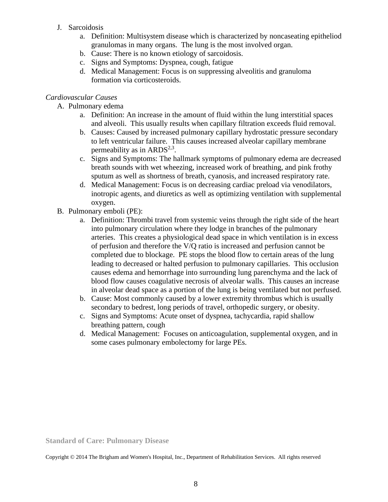- J. Sarcoidosis
	- a. Definition: Multisystem disease which is characterized by noncaseating epitheliod granulomas in many organs. The lung is the most involved organ.
	- b. Cause: There is no known etiology of sarcoidosis.
	- c. Signs and Symptoms: Dyspnea, cough, fatigue
	- d. Medical Management: Focus is on suppressing alveolitis and granuloma formation via corticosteroids.

## *Cardiovascular Causes*

- A. Pulmonary edema
	- a. Definition: An increase in the amount of fluid within the lung interstitial spaces and alveoli. This usually results when capillary filtration exceeds fluid removal.
	- b. Causes: Caused by increased pulmonary capillary hydrostatic pressure secondary to left ventricular failure. This causes increased alveolar capillary membrane permeability as in ARDS<sup>2,3</sup>.
	- c. Signs and Symptoms: The hallmark symptoms of pulmonary edema are decreased breath sounds with wet wheezing, increased work of breathing, and pink frothy sputum as well as shortness of breath, cyanosis, and increased respiratory rate.
	- d. Medical Management: Focus is on decreasing cardiac preload via venodilators, inotropic agents, and diuretics as well as optimizing ventilation with supplemental oxygen.
- B. Pulmonary emboli (PE):
	- a. Definition: Thrombi travel from systemic veins through the right side of the heart into pulmonary circulation where they lodge in branches of the pulmonary arteries. This creates a physiological dead space in which ventilation is in excess of perfusion and therefore the V/Q ratio is increased and perfusion cannot be completed due to blockage. PE stops the blood flow to certain areas of the lung leading to decreased or halted perfusion to pulmonary capillaries. This occlusion causes edema and hemorrhage into surrounding lung parenchyma and the lack of blood flow causes coagulative necrosis of alveolar walls. This causes an increase in alveolar dead space as a portion of the lung is being ventilated but not perfused.
	- b. Cause: Most commonly caused by a lower extremity thrombus which is usually secondary to bedrest, long periods of travel, orthopedic surgery, or obesity.
	- c. Signs and Symptoms: Acute onset of dyspnea, tachycardia, rapid shallow breathing pattern, cough
	- d. Medical Management: Focuses on anticoagulation, supplemental oxygen, and in some cases pulmonary embolectomy for large PEs.

**Standard of Care: Pulmonary Disease**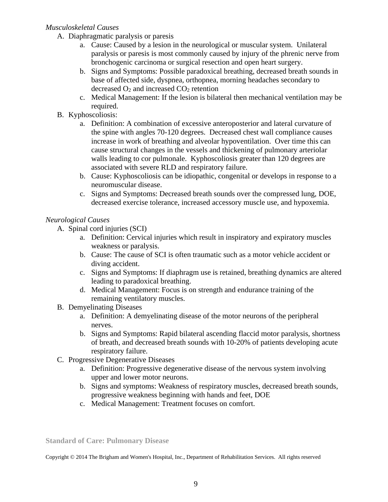## *Musculoskeletal Causes*

- A. Diaphragmatic paralysis or paresis
	- a. Cause: Caused by a lesion in the neurological or muscular system. Unilateral paralysis or paresis is most commonly caused by injury of the phrenic nerve from bronchogenic carcinoma or surgical resection and open heart surgery.
	- b. Signs and Symptoms: Possible paradoxical breathing, decreased breath sounds in base of affected side, dyspnea, orthopnea, morning headaches secondary to decreased  $O_2$  and increased  $CO_2$  retention
	- c. Medical Management: If the lesion is bilateral then mechanical ventilation may be required.
- B. Kyphoscoliosis:
	- a. Definition: A combination of excessive anteroposterior and lateral curvature of the spine with angles 70-120 degrees. Decreased chest wall compliance causes increase in work of breathing and alveolar hypoventilation. Over time this can cause structural changes in the vessels and thickening of pulmonary arteriolar walls leading to cor pulmonale. Kyphoscoliosis greater than 120 degrees are associated with severe RLD and respiratory failure.
	- b. Cause: Kyphoscoliosis can be idiopathic, congenital or develops in response to a neuromuscular disease.
	- c. Signs and Symptoms: Decreased breath sounds over the compressed lung, DOE, decreased exercise tolerance, increased accessory muscle use, and hypoxemia.

# *Neurological Causes*

- A. Spinal cord injuries (SCI)
	- a. Definition: Cervical injuries which result in inspiratory and expiratory muscles weakness or paralysis.
	- b. Cause: The cause of SCI is often traumatic such as a motor vehicle accident or diving accident.
	- c. Signs and Symptoms: If diaphragm use is retained, breathing dynamics are altered leading to paradoxical breathing.
	- d. Medical Management: Focus is on strength and endurance training of the remaining ventilatory muscles.
- B. Demyelinating Diseases
	- a. Definition: A demyelinating disease of the motor neurons of the peripheral nerves.
	- b. Signs and Symptoms: Rapid bilateral ascending flaccid motor paralysis, shortness of breath, and decreased breath sounds with 10-20% of patients developing acute respiratory failure.
- C. Progressive Degenerative Diseases
	- a. Definition: Progressive degenerative disease of the nervous system involving upper and lower motor neurons.
	- b. Signs and symptoms: Weakness of respiratory muscles, decreased breath sounds, progressive weakness beginning with hands and feet, DOE
	- c. Medical Management: Treatment focuses on comfort.

**Standard of Care: Pulmonary Disease**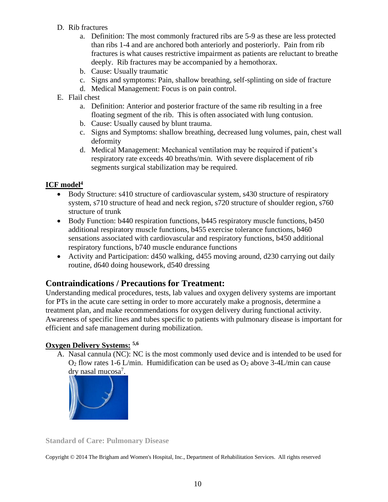- D. Rib fractures
	- a. Definition: The most commonly fractured ribs are 5-9 as these are less protected than ribs 1-4 and are anchored both anteriorly and posteriorly. Pain from rib fractures is what causes restrictive impairment as patients are reluctant to breathe deeply. Rib fractures may be accompanied by a hemothorax.
	- b. Cause: Usually traumatic
	- c. Signs and symptoms: Pain, shallow breathing, self-splinting on side of fracture
	- d. Medical Management: Focus is on pain control.
- E. Flail chest
	- a. Definition: Anterior and posterior fracture of the same rib resulting in a free floating segment of the rib. This is often associated with lung contusion.
	- b. Cause: Usually caused by blunt trauma.
	- c. Signs and Symptoms: shallow breathing, decreased lung volumes, pain, chest wall deformity
	- d. Medical Management: Mechanical ventilation may be required if patient's respiratory rate exceeds 40 breaths/min. With severe displacement of rib segments surgical stabilization may be required.

# **ICF model<sup>4</sup>**

- Body Structure: s410 structure of cardiovascular system, s430 structure of respiratory system, s710 structure of head and neck region, s720 structure of shoulder region, s760 structure of trunk
- Body Function: b440 respiration functions, b445 respiratory muscle functions, b450 additional respiratory muscle functions, b455 exercise tolerance functions, b460 sensations associated with cardiovascular and respiratory functions, b450 additional respiratory functions, b740 muscle endurance functions
- Activity and Participation: d450 walking, d455 moving around, d230 carrying out daily routine, d640 doing housework, d540 dressing

# **Contraindications / Precautions for Treatment:**

Understanding medical procedures, tests, lab values and oxygen delivery systems are important for PTs in the acute care setting in order to more accurately make a prognosis, determine a treatment plan, and make recommendations for oxygen delivery during functional activity. Awareness of specific lines and tubes specific to patients with pulmonary disease is important for efficient and safe management during mobilization.

# **Oxygen Delivery Systems: 5,6**

A. Nasal cannula (NC): NC is the most commonly used device and is intended to be used for  $O_2$  flow rates 1-6 L/min. Humidification can be used as  $O_2$  above 3-4 L/min can cause dry nasal mucosa<sup>7</sup>.



**Standard of Care: Pulmonary Disease**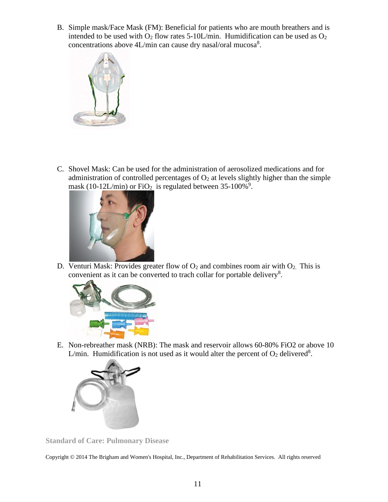B. Simple mask/Face Mask (FM): Beneficial for patients who are mouth breathers and is intended to be used with  $O_2$  flow rates 5-10L/min. Humidification can be used as  $O_2$ concentrations above 4L/min can cause dry nasal/oral mucosa<sup>8</sup>.



C. Shovel Mask: Can be used for the administration of aerosolized medications and for administration of controlled percentages of  $O<sub>2</sub>$  at levels slightly higher than the simple mask (10-12L/min) or  $FiO<sub>2</sub>$  is regulated between 35-100%<sup>9</sup>.



D. Venturi Mask: Provides greater flow of  $O_2$  and combines room air with  $O_2$ . This is convenient as it can be converted to trach collar for portable delivery<sup>8</sup>.



E. Non-rebreather mask (NRB): The mask and reservoir allows 60-80% FiO2 or above 10 L/min. Humidification is not used as it would alter the percent of  $O_2$  delivered<sup>8</sup>.



**Standard of Care: Pulmonary Disease**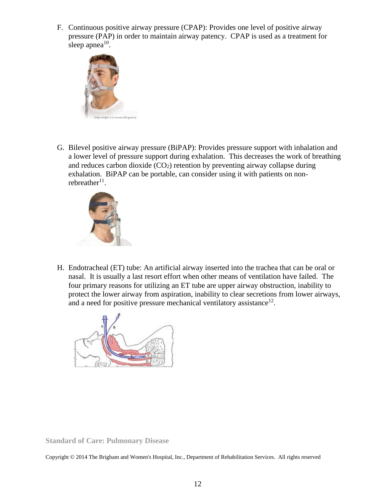F. Continuous positive airway pressure (CPAP): Provides one level of positive airway pressure (PAP) in order to maintain airway patency. CPAP is used as a treatment for sleep apnea $10$ .



G. Bilevel positive airway pressure (BiPAP): Provides pressure support with inhalation and a lower level of pressure support during exhalation. This decreases the work of breathing and reduces carbon dioxide  $(CO_2)$  retention by preventing airway collapse during exhalation. BiPAP can be portable, can consider using it with patients on nonrebreather $11$ .



H. Endotracheal (ET) tube: An artificial airway inserted into the trachea that can be oral or nasal. It is usually a last resort effort when other means of ventilation have failed. The four primary reasons for utilizing an ET tube are upper airway obstruction, inability to protect the lower airway from aspiration, inability to clear secretions from lower airways, and a need for positive pressure mechanical ventilatory assistance<sup>12</sup>.



**Standard of Care: Pulmonary Disease**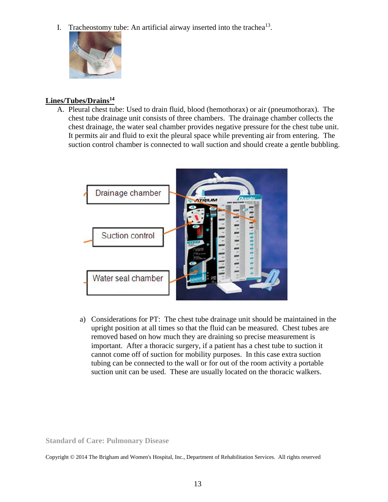I. Tracheostomy tube: An artificial airway inserted into the trachea $13$ .



## **Lines/Tubes/Drains<sup>14</sup>**

A. Pleural chest tube: Used to drain fluid, blood (hemothorax) or air (pneumothorax). The chest tube drainage unit consists of three chambers. The drainage chamber collects the chest drainage, the water seal chamber provides negative pressure for the chest tube unit. It permits air and fluid to exit the pleural space while preventing air from entering. The suction control chamber is connected to wall suction and should create a gentle bubbling.



a) Considerations for PT: The chest tube drainage unit should be maintained in the upright position at all times so that the fluid can be measured. Chest tubes are removed based on how much they are draining so precise measurement is important. After a thoracic surgery, if a patient has a chest tube to suction it cannot come off of suction for mobility purposes. In this case extra suction tubing can be connected to the wall or for out of the room activity a portable suction unit can be used. These are usually located on the thoracic walkers.

**Standard of Care: Pulmonary Disease**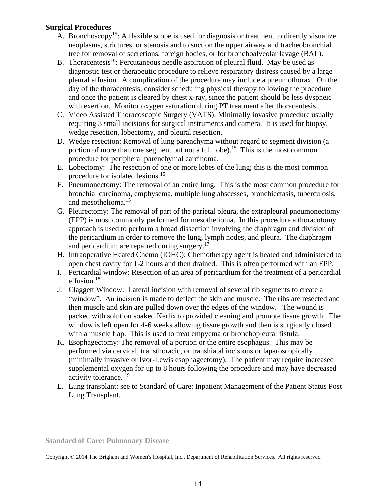## **Surgical Procedures**

- A. Bronchoscopy<sup>15</sup>: A flexible scope is used for diagnosis or treatment to directly visualize neoplasms, strictures, or stenosis and to suction the upper airway and tracheobronchial tree for removal of secretions, foreign bodies, or for bronchoalveolar lavage (BAL).
- B. Thoracentesis<sup>16</sup>: Percutaneous needle aspiration of pleural fluid. May be used as diagnostic test or therapeutic procedure to relieve respiratory distress caused by a large pleural effusion. A complication of the procedure may include a pneumothorax. On the day of the thoracentesis, consider scheduling physical therapy following the procedure and once the patient is cleared by chest x-ray, since the patient should be less dyspneic with exertion. Monitor oxygen saturation during PT treatment after thoracentesis.
- C. Video Assisted Thoracoscopic Surgery (VATS): Minimally invasive procedure usually requiring 3 small incisions for surgical instruments and camera. It is used for biopsy, wedge resection, lobectomy, and pleural resection.
- D. Wedge resection: Removal of lung parenchyma without regard to segment division (a portion of more than one segment but not a full lobe).<sup>15</sup> This is the most common procedure for peripheral parenchymal carcinoma.
- E. Lobectomy: The resection of one or more lobes of the lung; this is the most common procedure for isolated lesions.<sup>15</sup>
- F. Pneumonectomy: The removal of an entire lung. This is the most common procedure for bronchial carcinoma, emphysema, multiple lung abscesses, bronchiectasis, tuberculosis, and mesothelioma.<sup>15</sup>
- G. Pleurectomy: The removal of part of the parietal pleura, the extrapleural pneumonectomy (EPP) is most commonly performed for mesothelioma. In this procedure a thoracotomy approach is used to perform a broad dissection involving the diaphragm and division of the pericardium in order to remove the lung, lymph nodes, and pleura. The diaphragm and pericardium are repaired during surgery.<sup>17</sup>
- H. Intraoperative Heated Chemo (IOHC): Chemotherapy agent is heated and administered to open chest cavity for 1-2 hours and then drained. This is often performed with an EPP.
- I. Pericardial window: Resection of an area of pericardium for the treatment of a pericardial effusion.<sup>18</sup>
- J. Claggett Window: Lateral incision with removal of several rib segments to create a "window". An incision is made to deflect the skin and muscle. The ribs are resected and then muscle and skin are pulled down over the edges of the window. The wound is packed with solution soaked Kerlix to provided cleaning and promote tissue growth. The window is left open for 4-6 weeks allowing tissue growth and then is surgically closed with a muscle flap. This is used to treat empyema or bronchopleural fistula.
- K. Esophagectomy: The removal of a portion or the entire esophagus. This may be performed via cervical, transthoracic, or transhiatal incisions or laparoscopically (minimally invasive or Ivor-Lewis esophagectomy). The patient may require increased supplemental oxygen for up to 8 hours following the procedure and may have decreased activity tolerance.<sup>19</sup>
- L. Lung transplant: see to Standard of Care: Inpatient Management of the Patient Status Post Lung Transplant.

**Standard of Care: Pulmonary Disease**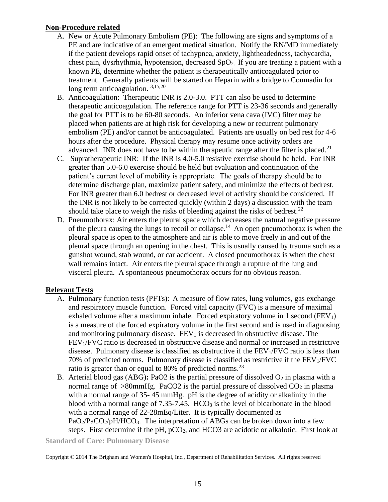## **Non-Procedure related**

- A. New or Acute Pulmonary Embolism (PE): The following are signs and symptoms of a PE and are indicative of an emergent medical situation. Notify the RN/MD immediately if the patient develops rapid onset of tachypnea, anxiety, lightheadedness, tachycardia, chest pain, dysrhythmia, hypotension, decreased  $SpO<sub>2</sub>$ . If you are treating a patient with a known PE, determine whether the patient is therapeutically anticoagulated prior to treatment. Generally patients will be started on Heparin with a bridge to Coumadin for long term anticoagulation.  $3,15,20$
- B. Anticoagulation: Therapeutic INR is 2.0-3.0. PTT can also be used to determine therapeutic anticoagulation. The reference range for PTT is 23-36 seconds and generally the goal for PTT is to be 60-80 seconds. An inferior vena cava (IVC) filter may be placed when patients are at high risk for developing a new or recurrent pulmonary embolism (PE) and/or cannot be anticoagulated. Patients are usually on bed rest for 4-6 hours after the procedure. Physical therapy may resume once activity orders are advanced. INR does not have to be within therapeutic range after the filter is placed.<sup>21</sup>
- C. Supratherapeutic INR: If the INR is 4.0-5.0 resistive exercise should be held. For INR greater than 5.0-6.0 exercise should be held but evaluation and continuation of the patient's current level of mobility is appropriate. The goals of therapy should be to determine discharge plan, maximize patient safety, and minimize the effects of bedrest. For INR greater than 6.0 bedrest or decreased level of activity should be considered. If the INR is not likely to be corrected quickly (within 2 days) a discussion with the team should take place to weigh the risks of bleeding against the risks of bedrest.<sup>22</sup>
- D. Pneumothorax: Air enters the pleural space which decreases the natural negative pressure of the pleura causing the lungs to recoil or collapse.<sup>14</sup> An open pneumothorax is when the pleural space is open to the atmosphere and air is able to move freely in and out of the pleural space through an opening in the chest. This is usually caused by trauma such as a gunshot wound, stab wound, or car accident. A closed pneumothorax is when the chest wall remains intact. Air enters the pleural space through a rupture of the lung and visceral pleura. A spontaneous pneumothorax occurs for no obvious reason.

# **Relevant Tests**

- A. Pulmonary function tests (PFTs): A measure of flow rates, lung volumes, gas exchange and respiratory muscle function. Forced vital capacity (FVC) is a measure of maximal exhaled volume after a maximum inhale. Forced expiratory volume in 1 second  $(FEV_1)$ is a measure of the forced expiratory volume in the first second and is used in diagnosing and monitoring pulmonary disease.  $FEV<sub>1</sub>$  is decreased in obstructive disease. The FEV1/FVC ratio is decreased in obstructive disease and normal or increased in restrictive disease. Pulmonary disease is classified as obstructive if the  $FEV<sub>1</sub>/FVC$  ratio is less than 70% of predicted norms. Pulmonary disease is classified as restrictive if the  $FEV<sub>1</sub>/FVC$ ratio is greater than or equal to 80% of predicted norms.<sup>23</sup>
- B. Arterial blood gas (ABG): PaO2 is the partial pressure of dissolved  $O_2$  in plasma with a normal range of  $>80$ mmHg. PaCO2 is the partial pressure of dissolved CO<sub>2</sub> in plasma with a normal range of 35- 45 mmHg. pH is the degree of acidity or alkalinity in the blood with a normal range of  $7.35$ -7.45.  $HCO<sub>3</sub>$  is the level of bicarbonate in the blood with a normal range of 22-28mEq/Liter. It is typically documented as  $PaO<sub>2</sub>/PaCO<sub>2</sub>/pH/HCO<sub>3</sub>$ . The interpretation of ABGs can be broken down into a few steps. First determine if the pH, pCO<sub>2</sub>, and HCO3 are acidotic or alkalotic. First look at

**Standard of Care: Pulmonary Disease**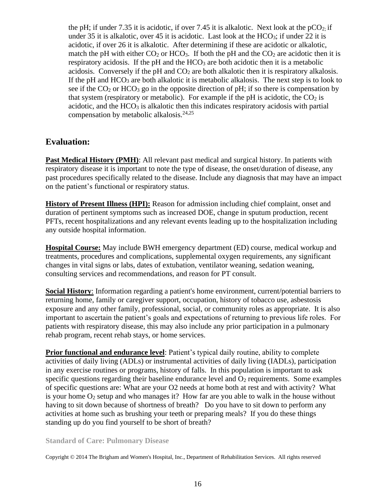the pH; if under 7.35 it is acidotic, if over 7.45 it is alkalotic. Next look at the  $pCO<sub>2</sub>$ ; if under 35 it is alkalotic, over 45 it is acidotic.Last look at the HCO3; if under 22 it is acidotic, if over 26 it is alkalotic. After determining if these are acidotic or alkalotic, match the pH with either  $CO<sub>2</sub>$  or HCO<sub>3</sub>. If both the pH and the  $CO<sub>2</sub>$  are acidotic then it is respiratory acidosis. If the  $pH$  and the  $HCO<sub>3</sub>$  are both acidotic then it is a metabolic acidosis. Conversely if the pH and  $CO<sub>2</sub>$  are both alkalotic then it is respiratory alkalosis. If the pH and  $HCO<sub>3</sub>$  are both alkalotic it is metabolic alkalosis. The next step is to look to see if the  $CO<sub>2</sub>$  or  $HCO<sub>3</sub>$  go in the opposite direction of pH; if so there is compensation by that system (respiratory or metabolic). For example if the pH is acidotic, the  $CO<sub>2</sub>$  is acidotic, and the  $HCO<sub>3</sub>$  is alkalotic then this indicates respiratory acidosis with partial compensation by metabolic alkalosis.<sup>24,25</sup>

# **Evaluation:**

Past Medical History (PMH): All relevant past medical and surgical history. In patients with respiratory disease it is important to note the type of disease, the onset/duration of disease, any past procedures specifically related to the disease. Include any diagnosis that may have an impact on the patient's functional or respiratory status.

**History of Present Illness (HPI):** Reason for admission including chief complaint, onset and duration of pertinent symptoms such as increased DOE, change in sputum production, recent PFTs, recent hospitalizations and any relevant events leading up to the hospitalization including any outside hospital information.

**Hospital Course:** May include BWH emergency department (ED) course, medical workup and treatments, procedures and complications, supplemental oxygen requirements, any significant changes in vital signs or labs, dates of extubation, ventilator weaning, sedation weaning, consulting services and recommendations, and reason for PT consult.

**Social History:** Information regarding a patient's home environment, current/potential barriers to returning home, family or caregiver support, occupation, history of tobacco use, asbestosis exposure and any other family, professional, social, or community roles as appropriate. It is also important to ascertain the patient's goals and expectations of returning to previous life roles. For patients with respiratory disease, this may also include any prior participation in a pulmonary rehab program, recent rehab stays, or home services.

**Prior functional and endurance level**: Patient's typical daily routine, ability to complete activities of daily living (ADLs) or instrumental activities of daily living (IADLs), participation in any exercise routines or programs, history of falls. In this population is important to ask specific questions regarding their baseline endurance level and  $O_2$  requirements. Some examples of specific questions are: What are your O2 needs at home both at rest and with activity? What is your home  $O_2$  setup and who manages it? How far are you able to walk in the house without having to sit down because of shortness of breath? Do you have to sit down to perform any activities at home such as brushing your teeth or preparing meals? If you do these things standing up do you find yourself to be short of breath?

### **Standard of Care: Pulmonary Disease**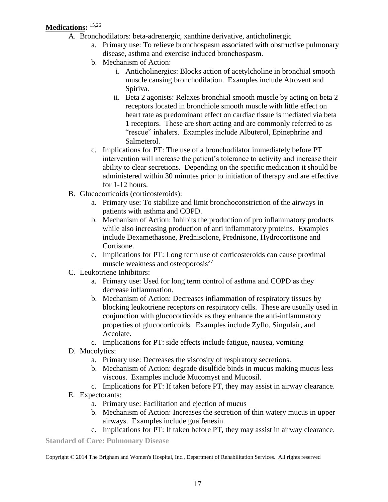# **Medications:** 15,26

- A. Bronchodilators: beta-adrenergic, xanthine derivative, anticholinergic
	- a. Primary use: To relieve bronchospasm associated with obstructive pulmonary disease, asthma and exercise induced bronchospasm.
	- b. Mechanism of Action:
		- i. Anticholinergics: Blocks action of acetylcholine in bronchial smooth muscle causing bronchodilation. Examples include Atrovent and Spiriva.
		- ii. Beta 2 agonists: Relaxes bronchial smooth muscle by acting on beta 2 receptors located in bronchiole smooth muscle with little effect on heart rate as predominant effect on cardiac tissue is mediated via beta 1 receptors. These are short acting and are commonly referred to as "rescue" inhalers. Examples include Albuterol, Epinephrine and Salmeterol.
	- c. Implications for PT: The use of a bronchodilator immediately before PT intervention will increase the patient's tolerance to activity and increase their ability to clear secretions. Depending on the specific medication it should be administered within 30 minutes prior to initiation of therapy and are effective for 1-12 hours.
- B. Glucocorticoids (corticosteroids):
	- a. Primary use: To stabilize and limit bronchoconstriction of the airways in patients with asthma and COPD.
	- b. Mechanism of Action: Inhibits the production of pro inflammatory products while also increasing production of anti inflammatory proteins. Examples include Dexamethasone, Prednisolone, Prednisone, Hydrocortisone and Cortisone.
	- c. Implications for PT: Long term use of corticosteroids can cause proximal muscle weakness and osteoporosis $27$
- C. Leukotriene Inhibitors:
	- a. Primary use: Used for long term control of asthma and COPD as they decrease inflammation.
	- b. Mechanism of Action: Decreases inflammation of respiratory tissues by blocking leukotriene receptors on respiratory cells. These are usually used in conjunction with glucocorticoids as they enhance the anti-inflammatory properties of glucocorticoids. Examples include Zyflo, Singulair, and Accolate.
	- c. Implications for PT: side effects include fatigue, nausea, vomiting
- D. Mucolytics:
	- a. Primary use: Decreases the viscosity of respiratory secretions.
	- b. Mechanism of Action: degrade disulfide binds in mucus making mucus less viscous. Examples include Mucomyst and Mucosil.
	- c. Implications for PT: If taken before PT, they may assist in airway clearance.
- E. Expectorants:
	- a. Primary use: Facilitation and ejection of mucus
	- b. Mechanism of Action: Increases the secretion of thin watery mucus in upper airways. Examples include guaifenesin.
	- c. Implications for PT: If taken before PT, they may assist in airway clearance.

**Standard of Care: Pulmonary Disease**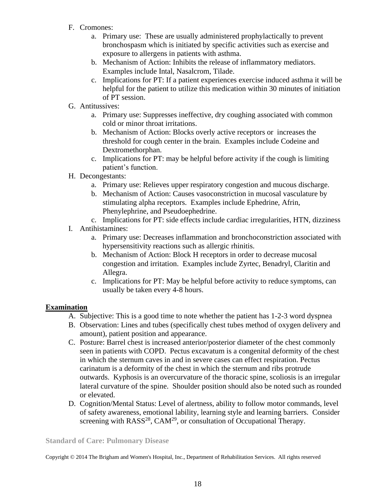- F. Cromones:
	- a. Primary use: These are usually administered prophylactically to prevent bronchospasm which is initiated by specific activities such as exercise and exposure to allergens in patients with asthma.
	- b. Mechanism of Action: Inhibits the release of inflammatory mediators. Examples include Intal, Nasalcrom, Tilade.
	- c. Implications for PT: If a patient experiences exercise induced asthma it will be helpful for the patient to utilize this medication within 30 minutes of initiation of PT session.
- G. Antitussives:
	- a. Primary use: Suppresses ineffective, dry coughing associated with common cold or minor throat irritations.
	- b. Mechanism of Action: Blocks overly active receptors or increases the threshold for cough center in the brain. Examples include Codeine and Dextromethorphan.
	- c. Implications for PT: may be helpful before activity if the cough is limiting patient's function.
- H. Decongestants:
	- a. Primary use: Relieves upper respiratory congestion and mucous discharge.
	- b. Mechanism of Action: Causes vasoconstriction in mucosal vasculature by stimulating alpha receptors. Examples include Ephedrine, Afrin, Phenylephrine, and Pseudoephedrine.
	- c. Implications for PT: side effects include cardiac irregularities, HTN, dizziness
- I. Antihistamines:
	- a. Primary use: Decreases inflammation and bronchoconstriction associated with hypersensitivity reactions such as allergic rhinitis.
	- b. Mechanism of Action: Block H receptors in order to decrease mucosal congestion and irritation. Examples include Zyrtec, Benadryl, Claritin and Allegra.
	- c. Implications for PT: May be helpful before activity to reduce symptoms, can usually be taken every 4-8 hours.

# **Examination**

- A. Subjective: This is a good time to note whether the patient has 1-2-3 word dyspnea
- B. Observation: Lines and tubes (specifically chest tubes method of oxygen delivery and amount), patient position and appearance.
- C. Posture: Barrel chest is increased anterior/posterior diameter of the chest commonly seen in patients with COPD. Pectus excavatum is a congenital deformity of the chest in which the sternum caves in and in severe cases can effect respiration. Pectus carinatum is a deformity of the chest in which the sternum and ribs protrude outwards. Kyphosis is an overcurvature of the thoracic spine, scoliosis is an irregular lateral curvature of the spine. Shoulder position should also be noted such as rounded or elevated.
- D. Cognition/Mental Status: Level of alertness, ability to follow motor commands, level of safety awareness, emotional lability, learning style and learning barriers. Consider screening with  $RASS^{28}$ ,  $CAM^{29}$ , or consultation of Occupational Therapy.

### **Standard of Care: Pulmonary Disease**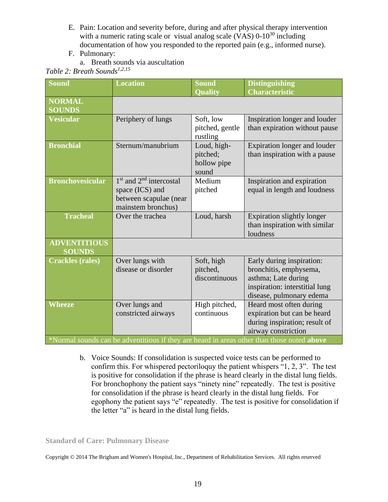- E. Pain: Location and severity before, during and after physical therapy intervention with a numeric rating scale or visual analog scale  $(VAS)$  0-10<sup>30</sup> including documentation of how you responded to the reported pain (e.g., informed nurse).
- F. Pulmonary:
	- a. Breath sounds via auscultation

*Table 2: Breath Sounds1,2,15*

| <b>Sound</b>                                                                               | <b>Location</b>                                                                                                    | Sound                                           | <b>Distinguishing</b>                                                                                                                    |
|--------------------------------------------------------------------------------------------|--------------------------------------------------------------------------------------------------------------------|-------------------------------------------------|------------------------------------------------------------------------------------------------------------------------------------------|
|                                                                                            |                                                                                                                    | <b>Quality</b>                                  | <b>Characteristic</b>                                                                                                                    |
| <b>NORMAL</b><br><b>SOUNDS</b>                                                             |                                                                                                                    |                                                 |                                                                                                                                          |
| <b>Vesicular</b>                                                                           | Periphery of lungs                                                                                                 | Soft, low<br>pitched, gentle<br>rustling        | Inspiration longer and louder<br>than expiration without pause                                                                           |
| <b>Bronchial</b>                                                                           | Sternum/manubrium                                                                                                  | Loud, high-<br>pitched;<br>hollow pipe<br>sound | Expiration longer and louder<br>than inspiration with a pause                                                                            |
| <b>Bronchovesicular</b>                                                                    | 1 <sup>st</sup> and 2 <sup>nd</sup> intercostal<br>space (ICS) and<br>between scapulae (near<br>mainstem bronchus) | Medium<br>pitched                               | Inspiration and expiration<br>equal in length and loudness                                                                               |
| <b>Tracheal</b>                                                                            | Over the trachea                                                                                                   | Loud, harsh                                     | Expiration slightly longer<br>than inspiration with similar<br>loudness                                                                  |
| <b>ADVENTITIOUS</b><br><b>SOUNDS</b>                                                       |                                                                                                                    |                                                 |                                                                                                                                          |
| <b>Crackles (rales)</b>                                                                    | Over lungs with<br>disease or disorder                                                                             | Soft, high<br>pitched,<br>discontinuous         | Early during inspiration:<br>bronchitis, emphysema,<br>asthma; Late during<br>inspiration: interstitial lung<br>disease, pulmonary edema |
| Wheeze                                                                                     | Over lungs and<br>constricted airways                                                                              | High pitched,<br>continuous                     | Heard most often during<br>expiration but can be heard<br>during inspiration; result of<br>airway constriction                           |
| *Normal sounds can be adventitious if they are heard in areas other than those noted above |                                                                                                                    |                                                 |                                                                                                                                          |

- b. Voice Sounds: If consolidation is suspected voice tests can be performed to confirm this. For whispered pectoriloquy the patient whispers "1, 2, 3". The test is positive for consolidation if the phrase is heard clearly in the distal lung fields.
	- For bronchophony the patient says "ninety nine" repeatedly. The test is positive for consolidation if the phrase is heard clearly in the distal lung fields. For egophony the patient says "e" repeatedly. The test is positive for consolidation if the letter "a" is heard in the distal lung fields.

**Standard of Care: Pulmonary Disease**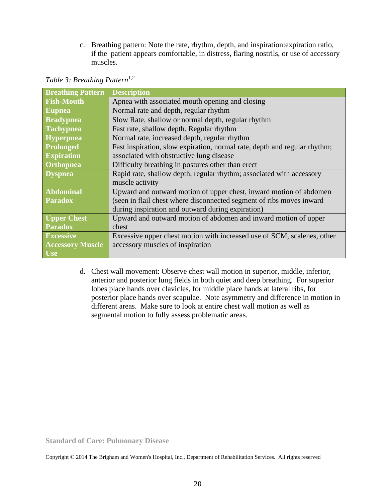c. Breathing pattern: Note the rate, rhythm, depth, and inspiration:expiration ratio, if the patient appears comfortable, in distress, flaring nostrils, or use of accessory muscles.

| <b>Breathing Pattern</b> | <b>Description</b>                                                        |
|--------------------------|---------------------------------------------------------------------------|
| <b>Fish-Mouth</b>        | Apnea with associated mouth opening and closing                           |
| <b>Eupnea</b>            | Normal rate and depth, regular rhythm                                     |
| <b>Bradypnea</b>         | Slow Rate, shallow or normal depth, regular rhythm                        |
| <b>Tachypnea</b>         | Fast rate, shallow depth. Regular rhythm                                  |
| Hyperpnea                | Normal rate, increased depth, regular rhythm                              |
| Prolonged                | Fast inspiration, slow expiration, normal rate, depth and regular rhythm; |
| <b>Expiration</b>        | associated with obstructive lung disease                                  |
| <b>Orthopnea</b>         | Difficulty breathing in postures other than erect                         |
| <b>Dyspnea</b>           | Rapid rate, shallow depth, regular rhythm; associated with accessory      |
|                          | muscle activity                                                           |
| <b>Abdominal</b>         | Upward and outward motion of upper chest, inward motion of abdomen        |
| <b>Paradox</b>           | (seen in flail chest where disconnected segment of ribs moves inward      |
|                          | during inspiration and outward during expiration)                         |
| <b>Upper Chest</b>       | Upward and outward motion of abdomen and inward motion of upper           |
| <b>Paradox</b>           | chest                                                                     |
| <b>Excessive</b>         | Excessive upper chest motion with increased use of SCM, scalenes, other   |
| <b>Accessory Muscle</b>  | accessory muscles of inspiration                                          |
| U <sub>se</sub>          |                                                                           |

*Table 3: Breathing Pattern1,2*

d. Chest wall movement: Observe chest wall motion in superior, middle, inferior, anterior and posterior lung fields in both quiet and deep breathing. For superior lobes place hands over clavicles, for middle place hands at lateral ribs, for posterior place hands over scapulae. Note asymmetry and difference in motion in different areas. Make sure to look at entire chest wall motion as well as segmental motion to fully assess problematic areas.

**Standard of Care: Pulmonary Disease**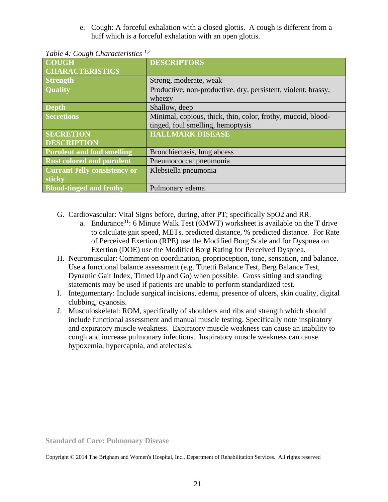e. Cough: A forceful exhalation with a closed glottis. A cough is different from a huff which is a forceful exhalation with an open glottis.

| <b>COUGH</b>                        | <b>DESCRIPTORS</b>                                            |
|-------------------------------------|---------------------------------------------------------------|
| <b>CHARACTERISTICS</b>              |                                                               |
| <b>Strength</b>                     | Strong, moderate, weak                                        |
| <b>Quality</b>                      | Productive, non-productive, dry, persistent, violent, brassy, |
|                                     | wheezy                                                        |
| <b>Depth</b>                        | Shallow, deep                                                 |
| <b>Secretions</b>                   | Minimal, copious, thick, thin, color, frothy, mucoid, blood-  |
|                                     | tinged, foul smelling, hemoptysis                             |
| <b>SECRETION</b>                    | <b>HALLMARK DISEASE</b>                                       |
| <b>DESCRIPTION</b>                  |                                                               |
| <b>Purulent and foul smelling</b>   | Bronchiectasis, lung abcess                                   |
| <b>Rust colored and purulent</b>    | Pneumococcal pneumonia                                        |
| <b>Currant Jelly consistency or</b> | Klebsiella pneumonia                                          |
| sticky                              |                                                               |
| <b>Blood-tinged and frothy</b>      | Pulmonary edema                                               |

*Table 4: Cough Characteristics 1,2*

- G. Cardiovascular: Vital Signs before, during, after PT; specifically SpO2 and RR.
	- a. Endurance<sup>31</sup>: 6 Minute Walk Test (6MWT) worksheet is available on the T drive to calculate gait speed, METs, predicted distance, % predicted distance. For Rate of Perceived Exertion (RPE) use the Modified Borg Scale and for Dyspnea on Exertion (DOE) use the Modified Borg Rating for Perceived Dyspnea.
- H. Neuromuscular: Comment on coordination, proprioception, tone, sensation, and balance. Use a functional balance assessment (e.g. Tinetti Balance Test, Berg Balance Test, Dynamic Gait Index, Timed Up and Go) when possible. Gross sitting and standing statements may be used if patients are unable to perform standardized test.
- I. Integumentary: Include surgical incisions, edema, presence of ulcers, skin quality, digital clubbing, cyanosis.
- J. Musculoskeletal: ROM, specifically of shoulders and ribs and strength which should include functional assessment and manual muscle testing. Specifically note inspiratory and expiratory muscle weakness. Expiratory muscle weakness can cause an inability to cough and increase pulmonary infections. Inspiratory muscle weakness can cause hypoxemia, hypercapnia, and atelectasis.

**Standard of Care: Pulmonary Disease**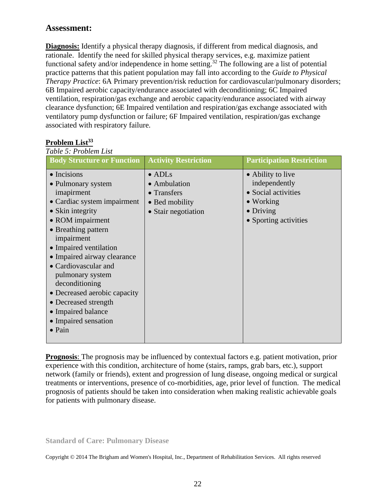# **Assessment:**

**Diagnosis:** Identify a physical therapy diagnosis, if different from medical diagnosis, and rationale. Identify the need for skilled physical therapy services, e.g. maximize patient functional safety and/or independence in home setting.<sup>32</sup> The following are a list of potential practice patterns that this patient population may fall into according to the *Guide to Physical Therapy Practice*: 6A Primary prevention/risk reduction for cardiovascular/pulmonary disorders; 6B Impaired aerobic capacity/endurance associated with deconditioning; 6C Impaired ventilation, respiration/gas exchange and aerobic capacity/endurance associated with airway clearance dysfunction; 6E Impaired ventilation and respiration/gas exchange associated with ventilatory pump dysfunction or failure; 6F Impaired ventilation, respiration/gas exchange associated with respiratory failure.

#### **Problem List<sup>33</sup>** *Table 5: Problem List*

| <b>Body Structure or Function</b>                                                                                                                                                                                                                                                                                                                                                                                  | <b>Activity Restriction</b>                                                            | <b>Participation Restriction</b>                                                                                             |
|--------------------------------------------------------------------------------------------------------------------------------------------------------------------------------------------------------------------------------------------------------------------------------------------------------------------------------------------------------------------------------------------------------------------|----------------------------------------------------------------------------------------|------------------------------------------------------------------------------------------------------------------------------|
| $\bullet$ Incisions<br>• Pulmonary system<br>imapirment<br>• Cardiac system impairment<br>• Skin integrity<br>• ROM impairment<br>• Breathing pattern<br>impairment<br>• Impaired ventilation<br>• Impaired airway clearance<br>• Cardiovascular and<br>pulmonary system<br>deconditioning<br>• Decreased aerobic capacity<br>• Decreased strength<br>• Impaired balance<br>• Impaired sensation<br>$\bullet$ Pain | $\bullet$ ADLs<br>• Ambulation<br>• Transfers<br>• Bed mobility<br>• Stair negotiation | • Ability to live<br>independently<br>• Social activities<br>$\bullet$ Working<br>$\bullet$ Driving<br>• Sporting activities |

**Prognosis**: The prognosis may be influenced by contextual factors e.g. patient motivation, prior experience with this condition, architecture of home (stairs, ramps, grab bars, etc.), support network (family or friends), extent and progression of lung disease, ongoing medical or surgical treatments or interventions, presence of co-morbidities, age, prior level of function. The medical prognosis of patients should be taken into consideration when making realistic achievable goals for patients with pulmonary disease.

**Standard of Care: Pulmonary Disease**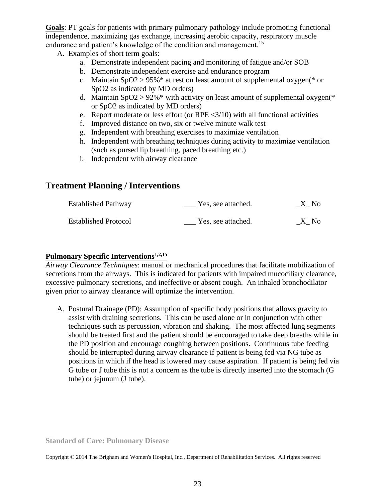**Goals**: PT goals for patients with primary pulmonary pathology include promoting functional independence, maximizing gas exchange, increasing aerobic capacity, respiratory muscle endurance and patient's knowledge of the condition and management.<sup>15</sup>

A. Examples of short term goals:

- a. Demonstrate independent pacing and monitoring of fatigue and/or SOB
- b. Demonstrate independent exercise and endurance program
- c. Maintain  $SpO2 > 95\%$  \* at rest on least amount of supplemental oxygen(\* or SpO2 as indicated by MD orders)
- d. Maintain  $SpO2 > 92\%$  with activity on least amount of supplemental oxygen(\* or SpO2 as indicated by MD orders)
- e. Report moderate or less effort (or RPE  $\langle 3/10 \rangle$  with all functional activities
- f. Improved distance on two, six or twelve minute walk test
- g. Independent with breathing exercises to maximize ventilation
- h. Independent with breathing techniques during activity to maximize ventilation (such as pursed lip breathing, paced breathing etc.)
- i. Independent with airway clearance

# **Treatment Planning / Interventions**

| <b>Established Pathway</b>  | Yes, see attached. | X No |
|-----------------------------|--------------------|------|
| <b>Established Protocol</b> | Yes, see attached. | X No |

# **Pulmonary Specific Interventions1,2,15**

*Airway Clearance Techniques*: manual or mechanical procedures that facilitate mobilization of secretions from the airways. This is indicated for patients with impaired mucociliary clearance, excessive pulmonary secretions, and ineffective or absent cough. An inhaled bronchodilator given prior to airway clearance will optimize the intervention.

A. Postural Drainage (PD): Assumption of specific body positions that allows gravity to assist with draining secretions. This can be used alone or in conjunction with other techniques such as percussion, vibration and shaking. The most affected lung segments should be treated first and the patient should be encouraged to take deep breaths while in the PD position and encourage coughing between positions. Continuous tube feeding should be interrupted during airway clearance if patient is being fed via NG tube as positions in which if the head is lowered may cause aspiration. If patient is being fed via G tube or J tube this is not a concern as the tube is directly inserted into the stomach (G tube) or jejunum (J tube).

**Standard of Care: Pulmonary Disease**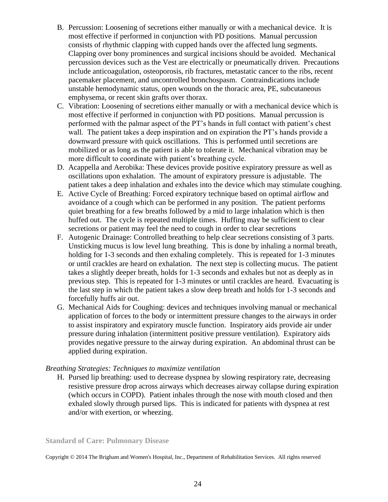- B. Percussion: Loosening of secretions either manually or with a mechanical device. It is most effective if performed in conjunction with PD positions. Manual percussion consists of rhythmic clapping with cupped hands over the affected lung segments. Clapping over bony prominences and surgical incisions should be avoided. Mechanical percussion devices such as the Vest are electrically or pneumatically driven. Precautions include anticoagulation, osteoporosis, rib fractures, metastatic cancer to the ribs, recent pacemaker placement, and uncontrolled bronchospasm. Contraindications include unstable hemodynamic status, open wounds on the thoracic area, PE, subcutaneous emphysema, or recent skin grafts over thorax.
- C. Vibration: Loosening of secretions either manually or with a mechanical device which is most effective if performed in conjunction with PD positions. Manual percussion is performed with the palmar aspect of the PT's hands in full contact with patient's chest wall. The patient takes a deep inspiration and on expiration the PT's hands provide a downward pressure with quick oscillations. This is performed until secretions are mobilized or as long as the patient is able to tolerate it. Mechanical vibration may be more difficult to coordinate with patient's breathing cycle.
- D. Acappella and Aerobika: These devices provide positive expiratory pressure as well as oscillations upon exhalation. The amount of expiratory pressure is adjustable. The patient takes a deep inhalation and exhales into the device which may stimulate coughing.
- E. Active Cycle of Breathing: Forced expiratory technique based on optimal airflow and avoidance of a cough which can be performed in any position. The patient performs quiet breathing for a few breaths followed by a mid to large inhalation which is then huffed out. The cycle is repeated multiple times. Huffing may be sufficient to clear secretions or patient may feel the need to cough in order to clear secretions
- F. Autogenic Drainage: Controlled breathing to help clear secretions consisting of 3 parts. Unsticking mucus is low level lung breathing. This is done by inhaling a normal breath, holding for 1-3 seconds and then exhaling completely. This is repeated for 1-3 minutes or until crackles are heard on exhalation. The next step is collecting mucus. The patient takes a slightly deeper breath, holds for 1-3 seconds and exhales but not as deeply as in previous step. This is repeated for 1-3 minutes or until crackles are heard. Evacuating is the last step in which the patient takes a slow deep breath and holds for 1-3 seconds and forcefully huffs air out.
- G. Mechanical Aids for Coughing: devices and techniques involving manual or mechanical application of forces to the body or intermittent pressure changes to the airways in order to assist inspiratory and expiratory muscle function. Inspiratory aids provide air under pressure during inhalation (intermittent positive pressure ventilation). Expiratory aids provides negative pressure to the airway during expiration. An abdominal thrust can be applied during expiration.

### *Breathing Strategies: Techniques to maximize ventilation*

H. Pursed lip breathing: used to decrease dyspnea by slowing respiratory rate, decreasing resistive pressure drop across airways which decreases airway collapse during expiration (which occurs in COPD). Patient inhales through the nose with mouth closed and then exhaled slowly through pursed lips. This is indicated for patients with dyspnea at rest and/or with exertion, or wheezing.

**Standard of Care: Pulmonary Disease**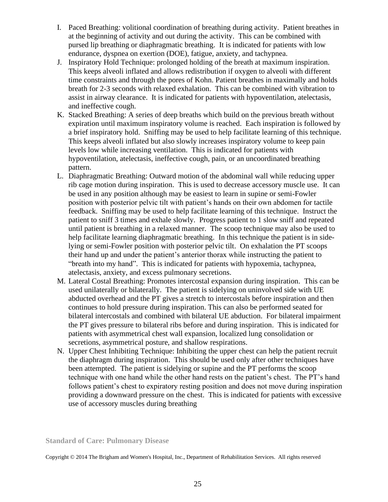- I. Paced Breathing: volitional coordination of breathing during activity. Patient breathes in at the beginning of activity and out during the activity. This can be combined with pursed lip breathing or diaphragmatic breathing. It is indicated for patients with low endurance, dyspnea on exertion (DOE), fatigue, anxiety, and tachypnea.
- J. Inspiratory Hold Technique: prolonged holding of the breath at maximum inspiration. This keeps alveoli inflated and allows redistribution if oxygen to alveoli with different time constraints and through the pores of Kohn. Patient breathes in maximally and holds breath for 2-3 seconds with relaxed exhalation. This can be combined with vibration to assist in airway clearance. It is indicated for patients with hypoventilation, atelectasis, and ineffective cough.
- K. Stacked Breathing: A series of deep breaths which build on the previous breath without expiration until maximum inspiratory volume is reached. Each inspiration is followed by a brief inspiratory hold. Sniffing may be used to help facilitate learning of this technique. This keeps alveoli inflated but also slowly increases inspiratory volume to keep pain levels low while increasing ventilation. This is indicated for patients with hypoventilation, atelectasis, ineffective cough, pain, or an uncoordinated breathing pattern.
- L. Diaphragmatic Breathing: Outward motion of the abdominal wall while reducing upper rib cage motion during inspiration. This is used to decrease accessory muscle use. It can be used in any position although may be easiest to learn in supine or semi-Fowler position with posterior pelvic tilt with patient's hands on their own abdomen for tactile feedback. Sniffing may be used to help facilitate learning of this technique. Instruct the patient to sniff 3 times and exhale slowly. Progress patient to 1 slow sniff and repeated until patient is breathing in a relaxed manner. The scoop technique may also be used to help facilitate learning diaphragmatic breathing. In this technique the patient is in sidelying or semi-Fowler position with posterior pelvic tilt. On exhalation the PT scoops their hand up and under the patient's anterior thorax while instructing the patient to "breath into my hand". This is indicated for patients with hypoxemia, tachypnea, atelectasis, anxiety, and excess pulmonary secretions.
- M. Lateral Costal Breathing: Promotes intercostal expansion during inspiration. This can be used unilaterally or bilaterally. The patient is sidelying on uninvolved side with UE abducted overhead and the PT gives a stretch to intercostals before inspiration and then continues to hold pressure during inspiration. This can also be performed seated for bilateral intercostals and combined with bilateral UE abduction. For bilateral impairment the PT gives pressure to bilateral ribs before and during inspiration. This is indicated for patients with asymmetrical chest wall expansion, localized lung consolidation or secretions, asymmetrical posture, and shallow respirations.
- N. Upper Chest Inhibiting Technique: Inhibiting the upper chest can help the patient recruit the diaphragm during inspiration. This should be used only after other techniques have been attempted. The patient is sidelying or supine and the PT performs the scoop technique with one hand while the other hand rests on the patient's chest. The PT's hand follows patient's chest to expiratory resting position and does not move during inspiration providing a downward pressure on the chest. This is indicated for patients with excessive use of accessory muscles during breathing

**Standard of Care: Pulmonary Disease**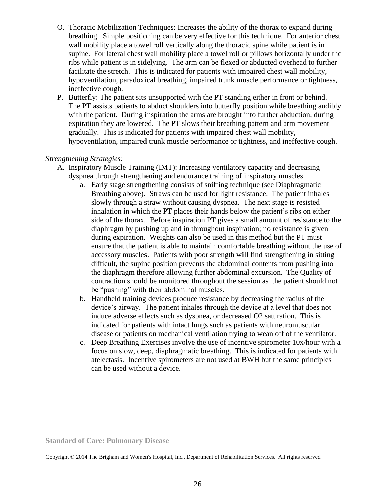- O. Thoracic Mobilization Techniques: Increases the ability of the thorax to expand during breathing. Simple positioning can be very effective for this technique. For anterior chest wall mobility place a towel roll vertically along the thoracic spine while patient is in supine. For lateral chest wall mobility place a towel roll or pillows horizontally under the ribs while patient is in sidelying. The arm can be flexed or abducted overhead to further facilitate the stretch. This is indicated for patients with impaired chest wall mobility, hypoventilation, paradoxical breathing, impaired trunk muscle performance or tightness, ineffective cough.
- P. Butterfly: The patient sits unsupported with the PT standing either in front or behind. The PT assists patients to abduct shoulders into butterfly position while breathing audibly with the patient. During inspiration the arms are brought into further abduction, during expiration they are lowered. The PT slows their breathing pattern and arm movement gradually. This is indicated for patients with impaired chest wall mobility, hypoventilation, impaired trunk muscle performance or tightness, and ineffective cough.

## *Strengthening Strategies:*

- A. Inspiratory Muscle Training (IMT): Increasing ventilatory capacity and decreasing dyspnea through strengthening and endurance training of inspiratory muscles.
	- a. Early stage strengthening consists of sniffing technique (see Diaphragmatic Breathing above). Straws can be used for light resistance. The patient inhales slowly through a straw without causing dyspnea. The next stage is resisted inhalation in which the PT places their hands below the patient's ribs on either side of the thorax. Before inspiration PT gives a small amount of resistance to the diaphragm by pushing up and in throughout inspiration; no resistance is given during expiration. Weights can also be used in this method but the PT must ensure that the patient is able to maintain comfortable breathing without the use of accessory muscles. Patients with poor strength will find strengthening in sitting difficult, the supine position prevents the abdominal contents from pushing into the diaphragm therefore allowing further abdominal excursion. The Quality of contraction should be monitored throughout the session as the patient should not be "pushing" with their abdominal muscles.
	- b. Handheld training devices produce resistance by decreasing the radius of the device's airway. The patient inhales through the device at a level that does not induce adverse effects such as dyspnea, or decreased O2 saturation. This is indicated for patients with intact lungs such as patients with neuromuscular disease or patients on mechanical ventilation trying to wean off of the ventilator.
	- c. Deep Breathing Exercises involve the use of incentive spirometer 10x/hour with a focus on slow, deep, diaphragmatic breathing. This is indicated for patients with atelectasis. Incentive spirometers are not used at BWH but the same principles can be used without a device.

**Standard of Care: Pulmonary Disease**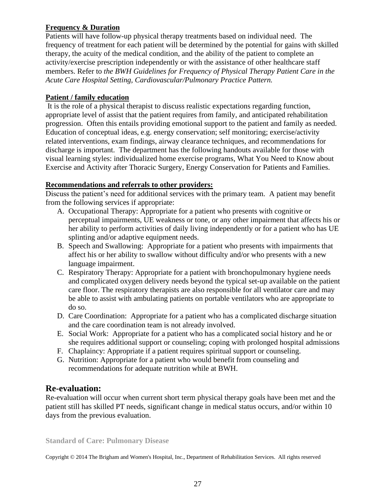# **Frequency & Duration**

Patients will have follow-up physical therapy treatments based on individual need. The frequency of treatment for each patient will be determined by the potential for gains with skilled therapy, the acuity of the medical condition, and the ability of the patient to complete an activity/exercise prescription independently or with the assistance of other healthcare staff members. Refer to *the BWH Guidelines for Frequency of Physical Therapy Patient Care in the Acute Care Hospital Setting, Cardiovascular/Pulmonary Practice Pattern.*

# **Patient / family education**

It is the role of a physical therapist to discuss realistic expectations regarding function, appropriate level of assist that the patient requires from family, and anticipated rehabilitation progression. Often this entails providing emotional support to the patient and family as needed. Education of conceptual ideas, e.g. energy conservation; self monitoring; exercise/activity related interventions, exam findings, airway clearance techniques, and recommendations for discharge is important. The department has the following handouts available for those with visual learning styles: individualized home exercise programs, What You Need to Know about Exercise and Activity after Thoracic Surgery, Energy Conservation for Patients and Families.

# **Recommendations and referrals to other providers:**

Discuss the patient's need for additional services with the primary team. A patient may benefit from the following services if appropriate:

- A. Occupational Therapy: Appropriate for a patient who presents with cognitive or perceptual impairments, UE weakness or tone, or any other impairment that affects his or her ability to perform activities of daily living independently or for a patient who has UE splinting and/or adaptive equipment needs.
- B. Speech and Swallowing: Appropriate for a patient who presents with impairments that affect his or her ability to swallow without difficulty and/or who presents with a new language impairment.
- C. Respiratory Therapy: Appropriate for a patient with bronchopulmonary hygiene needs and complicated oxygen delivery needs beyond the typical set-up available on the patient care floor. The respiratory therapists are also responsible for all ventilator care and may be able to assist with ambulating patients on portable ventilators who are appropriate to do so.
- D. Care Coordination: Appropriate for a patient who has a complicated discharge situation and the care coordination team is not already involved.
- E. Social Work: Appropriate for a patient who has a complicated social history and he or she requires additional support or counseling; coping with prolonged hospital admissions
- F. Chaplaincy: Appropriate if a patient requires spiritual support or counseling.
- G. Nutrition: Appropriate for a patient who would benefit from counseling and recommendations for adequate nutrition while at BWH.

# **Re-evaluation:**

Re-evaluation will occur when current short term physical therapy goals have been met and the patient still has skilled PT needs, significant change in medical status occurs, and/or within 10 days from the previous evaluation.

**Standard of Care: Pulmonary Disease**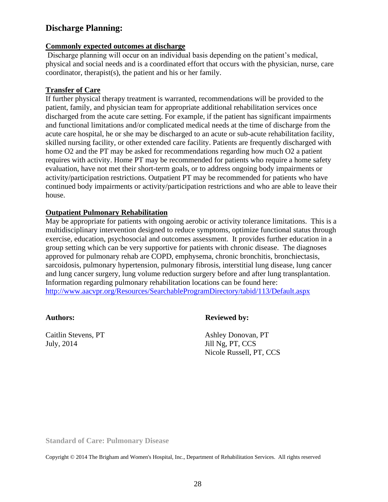# **Discharge Planning:**

#### **Commonly expected outcomes at discharge**

Discharge planning will occur on an individual basis depending on the patient's medical, physical and social needs and is a coordinated effort that occurs with the physician, nurse, care coordinator, therapist(s), the patient and his or her family.

### **Transfer of Care**

If further physical therapy treatment is warranted, recommendations will be provided to the patient, family, and physician team for appropriate additional rehabilitation services once discharged from the acute care setting. For example, if the patient has significant impairments and functional limitations and/or complicated medical needs at the time of discharge from the acute care hospital, he or she may be discharged to an acute or sub-acute rehabilitation facility, skilled nursing facility, or other extended care facility. Patients are frequently discharged with home O2 and the PT may be asked for recommendations regarding how much O2 a patient requires with activity. Home PT may be recommended for patients who require a home safety evaluation, have not met their short-term goals, or to address ongoing body impairments or activity/participation restrictions. Outpatient PT may be recommended for patients who have continued body impairments or activity/participation restrictions and who are able to leave their house.

## **Outpatient Pulmonary Rehabilitation**

May be appropriate for patients with ongoing aerobic or activity tolerance limitations. This is a multidisciplinary intervention designed to reduce symptoms, optimize functional status through exercise, education, psychosocial and outcomes assessment. It provides further education in a group setting which can be very supportive for patients with chronic disease. The diagnoses approved for pulmonary rehab are COPD, emphysema, chronic bronchitis, bronchiectasis, sarcoidosis, pulmonary hypertension, pulmonary fibrosis, interstitial lung disease, lung cancer and lung cancer surgery, lung volume reduction surgery before and after lung transplantation. Information regarding pulmonary rehabilitation locations can be found here: <http://www.aacvpr.org/Resources/SearchableProgramDirectory/tabid/113/Default.aspx>

Caitlin Stevens, PT July, 2014

## **Authors: Reviewed by:**

Ashley Donovan, PT Jill Ng, PT, CCS Nicole Russell, PT, CCS

**Standard of Care: Pulmonary Disease**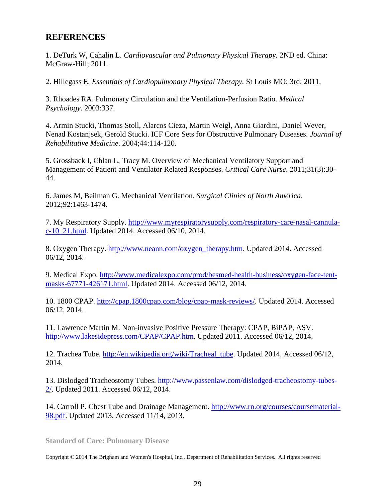# **REFERENCES**

1. DeTurk W, Cahalin L. *Cardiovascular and Pulmonary Physical Therapy.* 2ND ed. China: McGraw-Hill; 2011.

2. Hillegass E. *Essentials of Cardiopulmonary Physical Therapy.* St Louis MO: 3rd; 2011.

3. Rhoades RA. Pulmonary Circulation and the Ventilation-Perfusion Ratio. *Medical Psychology*. 2003:337.

4. Armin Stucki, Thomas Stoll, Alarcos Cieza, Martin Weigl, Anna Giardini, Daniel Wever, Nenad Kostanjsek, Gerold Stucki. ICF Core Sets for Obstructive Pulmonary Diseases. *Journal of Rehabilitative Medicine*. 2004;44:114-120.

5. Grossback I, Chlan L, Tracy M. Overview of Mechanical Ventilatory Support and Management of Patient and Ventilator Related Responses. *Critical Care Nurse*. 2011;31(3):30- 44.

6. James M, Beilman G. Mechanical Ventilation. *Surgical Clinics of North America*. 2012;92:1463-1474.

7. My Respiratory Supply. [http://www.myrespiratorysupply.com/respiratory-care-nasal-cannula](http://www.myrespiratorysupply.com/respiratory-care-nasal-cannula-c-10_21.html)[c-10\\_21.html.](http://www.myrespiratorysupply.com/respiratory-care-nasal-cannula-c-10_21.html) Updated 2014. Accessed 06/10, 2014.

8. Oxygen Therapy. [http://www.neann.com/oxygen\\_therapy.htm.](http://www.neann.com/oxygen_therapy.htm) Updated 2014. Accessed 06/12, 2014.

9. Medical Expo. [http://www.medicalexpo.com/prod/besmed-health-business/oxygen-face-tent](http://www.medicalexpo.com/prod/besmed-health-business/oxygen-face-tent-masks-67771-426171.html)[masks-67771-426171.html.](http://www.medicalexpo.com/prod/besmed-health-business/oxygen-face-tent-masks-67771-426171.html) Updated 2014. Accessed 06/12, 2014.

10. 1800 CPAP. [http://cpap.1800cpap.com/blog/cpap-mask-reviews/.](http://cpap.1800cpap.com/blog/cpap-mask-reviews/) Updated 2014. Accessed 06/12, 2014.

11. Lawrence Martin M. Non-invasive Positive Pressure Therapy: CPAP, BiPAP, ASV. [http://www.lakesidepress.com/CPAP/CPAP.htm.](http://www.lakesidepress.com/CPAP/CPAP.htm) Updated 2011. Accessed 06/12, 2014.

12. Trachea Tube. [http://en.wikipedia.org/wiki/Tracheal\\_tube.](http://en.wikipedia.org/wiki/Tracheal_tube) Updated 2014. Accessed 06/12, 2014.

13. Dislodged Tracheostomy Tubes. [http://www.passenlaw.com/dislodged-tracheostomy-tubes-](http://www.passenlaw.com/dislodged-tracheostomy-tubes-2/)[2/.](http://www.passenlaw.com/dislodged-tracheostomy-tubes-2/) Updated 2011. Accessed 06/12, 2014.

14. Carroll P. Chest Tube and Drainage Management. [http://www.rn.org/courses/coursematerial-](http://www.rn.org/courses/coursematerial-98.pdf)[98.pdf.](http://www.rn.org/courses/coursematerial-98.pdf) Updated 2013. Accessed 11/14, 2013.

**Standard of Care: Pulmonary Disease**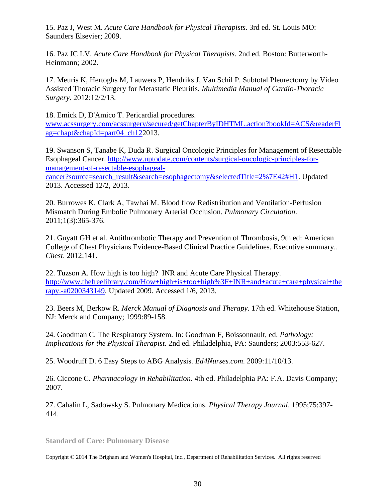15. Paz J, West M. *Acute Care Handbook for Physical Therapists.* 3rd ed. St. Louis MO: Saunders Elsevier; 2009.

16. Paz JC LV. *Acute Care Handbook for Physical Therapists.* 2nd ed. Boston: Butterworth-Heinmann; 2002.

17. Meuris K, Hertoghs M, Lauwers P, Hendriks J, Van Schil P. Subtotal Pleurectomy by Video Assisted Thoracic Surgery for Metastatic Pleuritis. *Multimedia Manual of Cardio-Thoracic Surgery*. 2012:12/2/13.

18. Emick D, D'Amico T. Pericardial procedures.

[www.acssurgery.com/acssurgery/secured/getChapterByIDHTML.action?bookId=ACS&readerFl](http://www.acssurgery.com/acssurgery/secured/getChapterByIDHTML.action?bookId=ACS&readerFlag=chapt&chapId=part04_ch12) [ag=chapt&chapId=part04\\_ch122](http://www.acssurgery.com/acssurgery/secured/getChapterByIDHTML.action?bookId=ACS&readerFlag=chapt&chapId=part04_ch12)013.

19. Swanson S, Tanabe K, Duda R. Surgical Oncologic Principles for Management of Resectable Esophageal Cancer. [http://www.uptodate.com/contents/surgical-oncologic-principles-for](http://www.uptodate.com/contents/surgical-oncologic-principles-for-management-of-resectable-esophageal-cancer?source=search_result&search=esophagectomy&selectedTitle=2%7E42#H1)[management-of-resectable-esophageal-](http://www.uptodate.com/contents/surgical-oncologic-principles-for-management-of-resectable-esophageal-cancer?source=search_result&search=esophagectomy&selectedTitle=2%7E42#H1)

[cancer?source=search\\_result&search=esophagectomy&selectedTitle=2%7E42#H1.](http://www.uptodate.com/contents/surgical-oncologic-principles-for-management-of-resectable-esophageal-cancer?source=search_result&search=esophagectomy&selectedTitle=2%7E42#H1) Updated 2013. Accessed 12/2, 2013.

20. Burrowes K, Clark A, Tawhai M. Blood flow Redistribution and Ventilation-Perfusion Mismatch During Embolic Pulmonary Arterial Occlusion. *Pulmonary Circulation*. 2011;1(3):365-376.

21. Guyatt GH et al. Antithrombotic Therapy and Prevention of Thrombosis, 9th ed: American College of Chest Physicians Evidence-Based Clinical Practice Guidelines. Executive summary.. *Chest*. 2012;141.

22. Tuzson A. How high is too high? INR and Acute Care Physical Therapy. [http://www.thefreelibrary.com/How+high+is+too+high%3F+INR+and+acute+care+physical+the](http://www.thefreelibrary.com/How+high+is+too+high%3F+INR+and+acute+care+physical+therapy.-a0200343149) [rapy.-a0200343149.](http://www.thefreelibrary.com/How+high+is+too+high%3F+INR+and+acute+care+physical+therapy.-a0200343149) Updated 2009. Accessed 1/6, 2013.

23. Beers M, Berkow R. *Merck Manual of Diagnosis and Therapy.* 17th ed. Whitehouse Station, NJ: Merck and Company; 1999:89-158.

24. Goodman C. The Respiratory System. In: Goodman F, Boissonnault, ed. *Pathology: Implications for the Physical Therapist.* 2nd ed. Philadelphia, PA: Saunders; 2003:553-627.

25. Woodruff D. 6 Easy Steps to ABG Analysis. *Ed4Nurses.com*. 2009:11/10/13.

26. Ciccone C. *Pharmacology in Rehabilitation.* 4th ed. Philadelphia PA: F.A. Davis Company; 2007.

27. Cahalin L, Sadowsky S. Pulmonary Medications. *Physical Therapy Journal*. 1995;75:397- 414.

**Standard of Care: Pulmonary Disease**